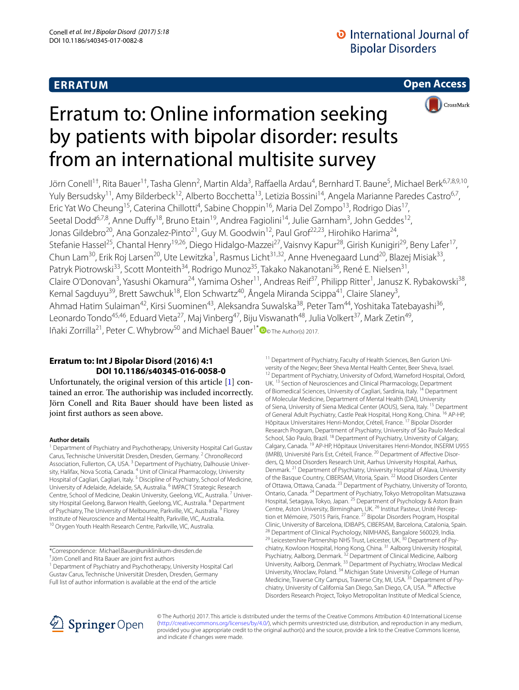## **ERRATUM**

**Open Access**



# Erratum to: Online information seeking by patients with bipolar disorder: results from an international multisite survey

Jörn Conell<sup>1†</sup>, Rita Bauer<sup>1†</sup>, Tasha Glenn<sup>2</sup>, Martin Alda<sup>3</sup>, Raffaella Ardau<sup>4</sup>, Bernhard T. Baune<sup>5</sup>, Michael Berk<sup>6,7,8,9,10</sup>, Yuly Bersudsky<sup>11</sup>, Amy Bilderbeck<sup>12</sup>, Alberto Bocchetta<sup>13</sup>, Letizia Bossini<sup>14</sup>, Angela Marianne Paredes Castro<sup>6,7</sup>, Eric Yat Wo Cheung<sup>15</sup>, Caterina Chillotti<sup>4</sup>, Sabine Choppin<sup>16</sup>, Maria Del Zompo<sup>13</sup>, Rodrigo Dias<sup>17</sup>, Seetal Dodd<sup>6,7,8</sup>, Anne Duffy<sup>18</sup>, Bruno Etain<sup>19</sup>, Andrea Fagiolini<sup>14</sup>, Julie Garnham<sup>3</sup>, John Geddes<sup>12</sup>, Jonas Gildebro<sup>20</sup>, Ana Gonzalez-Pinto<sup>21</sup>, Guy M. Goodwin<sup>12</sup>, Paul Grof<sup>22,23</sup>, Hirohiko Harima<sup>24</sup>, Stefanie Hassel<sup>25</sup>, Chantal Henry<sup>19,26</sup>, Diego Hidalgo-Mazzei<sup>27</sup>, Vaisnvy Kapur<sup>28</sup>, Girish Kunigiri<sup>29</sup>, Beny Lafer<sup>17</sup>, Chun Lam<sup>30</sup>, Erik Roj Larsen<sup>20</sup>, Ute Lewitzka<sup>1</sup>, Rasmus Licht<sup>31,32</sup>, Anne Hvenegaard Lund<sup>20</sup>, Blazej Misiak<sup>33</sup>, Patryk Piotrowski<sup>33</sup>, Scott Monteith<sup>34</sup>, Rodrigo Munoz<sup>35</sup>, Takako Nakanotani<sup>36</sup>, René E. Nielsen<sup>31</sup>, Claire O'Donovan<sup>3</sup>, Yasushi Okamura<sup>24</sup>, Yamima Osher<sup>11</sup>, Andreas Reif<sup>37</sup>, Philipp Ritter<sup>1</sup>, Janusz K. Rybakowski<sup>38</sup>, Kemal Sagduyu<sup>39</sup>, Brett Sawchuk<sup>18</sup>, Elon Schwartz<sup>40</sup>, Ângela Miranda Scippa<sup>41</sup>, Claire Slaney<sup>3</sup>, Ahmad Hatim Sulaiman<sup>42</sup>, Kirsi Suominen<sup>43</sup>, Aleksandra Suwalska<sup>38</sup>, Peter Tam<sup>44</sup>, Yoshitaka Tatebayashi<sup>36</sup>, Leonardo Tondo<sup>45,46</sup>, Eduard Vieta<sup>27</sup>, Maj Vinberg<sup>47</sup>, Biju Viswanath<sup>48</sup>, Julia Volkert<sup>37</sup>, Mark Zetin<sup>49</sup>, Iñaki Zorrilla<sup>21</sup>, Peter C. Whybrow<sup>50</sup> and Michael Bauer<sup>1[\\*](http://orcid.org/0000-0002-2666-859X)</sup>  $\bullet$  The Author(s) 2017.

## **Erratum to: Int J Bipolar Disord (2016) 4:1 DOI 10.1186/s40345‑016‑0058‑0**

Unfortunately, the original version of this article [\[1](#page-1-0)] contained an error. The authoriship was included incorrectly. Jörn Conell and Rita Bauer should have been listed as joint first authors as seen above.

### **Author details**

<sup>1</sup> Department of Psychiatry and Psychotherapy, University Hospital Carl Gustav Carus, Technische Universität Dresden, Dresden, Germany. <sup>2</sup> ChronoRecord Association, Fullerton, CA, USA.<sup>3</sup> Department of Psychiatry, Dalhousie University, Halifax, Nova Scotia, Canada. <sup>4</sup> Unit of Clinical Pharmacology, University Hospital of Cagliari, Cagliari, Italy.<sup>5</sup> Discipline of Psychiatry, School of Medicine, University of Adelaide, Adelaide, SA, Australia. 6 IMPACT Strategic Research Centre, School of Medicine, Deakin University, Geelong, VIC, Australia.<sup>7</sup> University Hospital Geelong, Barwon Health, Geelong, VIC, Australia. <sup>8</sup> Department of Psychiatry, The University of Melbourne, Parkville, VIC, Australia.<sup>9</sup> Florey Institute of Neuroscience and Mental Health, Parkville, VIC, Australia. 10 Orygen Youth Health Research Centre, Parkville, VIC, Australia.

\*Correspondence: Michael.Bauer@uniklinikum‑dresden.de

† Jörn Conell and Rita Bauer are joint first authors

<sup>1</sup> Department of Psychiatry and Psychotherapy, University Hospital Carl Gustav Carus, Technische Universität Dresden, Dresden, Germany

Full list of author information is available at the end of the article

<sup>11</sup> Department of Psychiatry, Faculty of Health Sciences, Ben Gurion University of the Negev; Beer Sheva Mental Health Center, Beer Sheva, Israel.<br><sup>12</sup> Department of Psychiatry, University of Oxford, Warneford Hospital, Oxford, UK.<sup>13</sup> Section of Neurosciences and Clinical Pharmacology, Department of Biomedical Sciences, University of Cagliari, Sardinia, Italy. 14 Department of Molecular Medicine, Department of Mental Health (DAI), University of Siena, University of Siena Medical Center (AOUS), Siena, Italy. 15 Department of General Adult Psychiatry, Castle Peak Hospital, Hong Kong, China. <sup>16</sup> AP-HP, Hôpitaux Universitaires Henri-Mondor, Créteil, France. <sup>17</sup> Bipolar Disorder Research Program, Department of Psychiatry, University of São Paulo Medical School, São Paulo, Brazil. <sup>18</sup> Department of Psychiatry, University of Calgary, Calgary, Canada. 19 AP-HP, Hôpitaux Universitaires Henri-Mondor, INSERM U955 (IMRB), Université Paris Est, Créteil, France. 20 Department of Affective Disor‑ ders, Q, Mood Disorders Research Unit, Aarhus University Hospital, Aarhus, Denmark. 21 Department of Psychiatry, University Hospital of Alava, University of the Basque Country, CIBERSAM, Vitoria, Spain. 22 Mood Disorders Center of Ottawa, Ottawa, Canada. <sup>23</sup> Department of Psychiatry, University of Toronto, Ontario, Canada. <sup>24</sup> Department of Psychiatry, Tokyo Metropolitan Matsuzawa Hospital, Setagaya, Tokyo, Japan. 25 Department of Psychology & Aston Brain Centre, Aston University, Birmingham, UK. <sup>26</sup> Institut Pasteur, Unité Perception et Mémoire, 75015 Paris, France. <sup>27</sup> Bipolar Disorders Program, Hospital Clinic, University of Barcelona, IDIBAPS, CIBERSAM, Barcelona, Catalonia, Spain. <sup>28</sup> Department of Clinical Psychology, NIMHANS, Bangalore 560029, India.<br><sup>29</sup> Leicestershire Partnership NHS Trust, Leicester, UK. <sup>30</sup> Department of Psychiatry, Kowloon Hospital, Hong Kong, China. <sup>31</sup> Aalborg University Hospital, Psychiatry, Aalborg, Denmark.<sup>32</sup> Department of Clinical Medicine, Aalborg University, Aalborg, Denmark. 33 Department of Psychiatry, Wroclaw Medical University, Wroclaw, Poland. <sup>34</sup> Michigan State University College of Human Medicine, Traverse City Campus, Traverse City, MI, USA. <sup>35</sup> Department of Psychiatry, University of California San Diego, San Diego, CA, USA. 36 Affective Disorders Research Project, Tokyo Metropolitan Institute of Medical Science,



© The Author(s) 2017. This article is distributed under the terms of the Creative Commons Attribution 4.0 International License [\(http://creativecommons.org/licenses/by/4.0/\)](http://creativecommons.org/licenses/by/4.0/), which permits unrestricted use, distribution, and reproduction in any medium, provided you give appropriate credit to the original author(s) and the source, provide a link to the Creative Commons license, and indicate if changes were made.